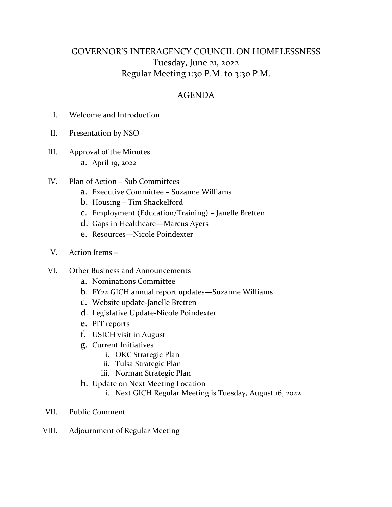## GOVERNOR'S INTERAGENCY COUNCIL ON HOMELESSNESS Tuesday, June 21, 2022 Regular Meeting 1:30 P.M. to 3:30 P.M.

## AGENDA

- I. Welcome and Introduction
- II. Presentation by NSO
- III. Approval of the Minutes a. April 19, 2022
- IV. Plan of Action Sub Committees
	- a. Executive Committee Suzanne Williams
	- b. Housing Tim Shackelford
	- c. Employment (Education/Training) Janelle Bretten
	- d. Gaps in Healthcare—Marcus Ayers
	- e. Resources—Nicole Poindexter
- V. Action Items –
- VI. Other Business and Announcements
	- a. Nominations Committee
	- b. FY22 GICH annual report updates—Suzanne Williams
	- c. Website update-Janelle Bretten
	- d. Legislative Update-Nicole Poindexter
	- e. PIT reports
	- f. USICH visit in August
	- g. Current Initiatives
		- i. OKC Strategic Plan
		- ii. Tulsa Strategic Plan
		- iii. Norman Strategic Plan
	- h. Update on Next Meeting Location
		- i. Next GICH Regular Meeting is Tuesday, August 16, 2022
- VII. Public Comment
- VIII. Adjournment of Regular Meeting